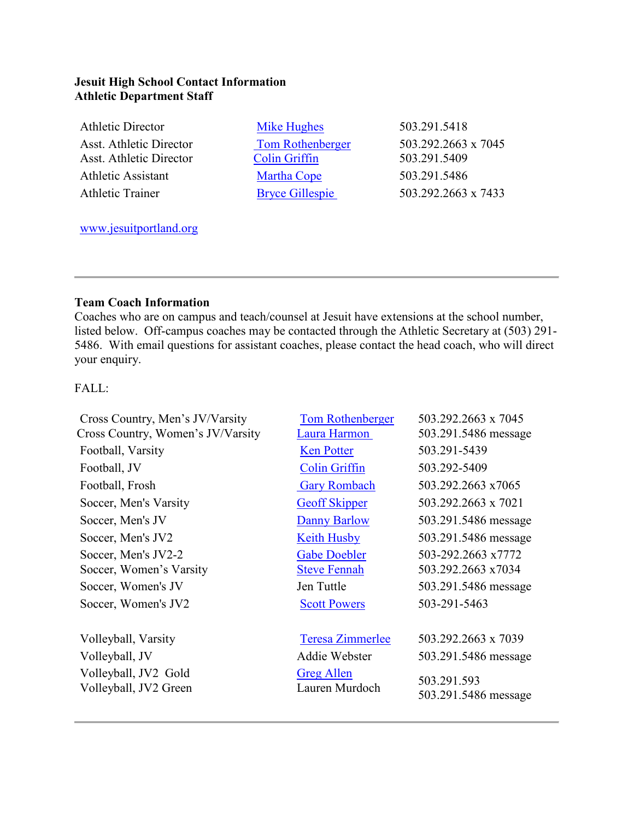## **Jesuit High School Contact Information Athletic Department Staff**

| <b>Athletic Director</b>       | Mike Hughes             | 503.291.5418        |
|--------------------------------|-------------------------|---------------------|
| Asst. Athletic Director        | <b>Tom Rothenberger</b> | 503.292.2663 x 7045 |
| <b>Asst. Athletic Director</b> | <b>Colin Griffin</b>    | 503.291.5409        |
| <b>Athletic Assistant</b>      | <b>Martha Cope</b>      | 503.291.5486        |
| <b>Athletic Trainer</b>        | <b>Bryce Gillespie</b>  | 503.292.2663 x 7433 |
|                                |                         |                     |

[www.jesuitportland.org](http://online.jesuitportland.org/)

## **Team Coach Information**

Coaches who are on campus and teach/counsel at Jesuit have extensions at the school number, listed below. Off-campus coaches may be contacted through the Athletic Secretary at (503) 291- 5486. With email questions for assistant coaches, please contact the head coach, who will direct your enquiry.

FALL:

| Cross Country, Men's JV/Varsity               | <b>Tom Rothenberger</b>             | 503.292.2663 x 7045                 |
|-----------------------------------------------|-------------------------------------|-------------------------------------|
| Cross Country, Women's JV/Varsity             | Laura Harmon                        | 503.291.5486 message                |
| Football, Varsity                             | <b>Ken Potter</b>                   | 503.291-5439                        |
| Football, JV                                  | <b>Colin Griffin</b>                | 503.292-5409                        |
| Football, Frosh                               | <b>Gary Rombach</b>                 | 503.292.2663 x7065                  |
| Soccer, Men's Varsity                         | <b>Geoff Skipper</b>                | 503.292.2663 x 7021                 |
| Soccer, Men's JV                              | Danny Barlow                        | 503.291.5486 message                |
| Soccer, Men's JV2                             | <b>Keith Husby</b>                  | 503.291.5486 message                |
| Soccer, Men's JV2-2                           | <b>Gabe Doebler</b>                 | 503-292.2663 x7772                  |
| Soccer, Women's Varsity                       | <b>Steve Fennah</b>                 | 503.292.2663 x7034                  |
| Soccer, Women's JV                            | Jen Tuttle                          | 503.291.5486 message                |
| Soccer, Women's JV2                           | <b>Scott Powers</b>                 | 503-291-5463                        |
| Volleyball, Varsity                           | <b>Teresa Zimmerlee</b>             | 503.292.2663 x 7039                 |
| Volleyball, JV                                | Addie Webster                       | 503.291.5486 message                |
| Volleyball, JV2 Gold<br>Volleyball, JV2 Green | <b>Greg Allen</b><br>Lauren Murdoch | 503.291.593<br>503.291.5486 message |